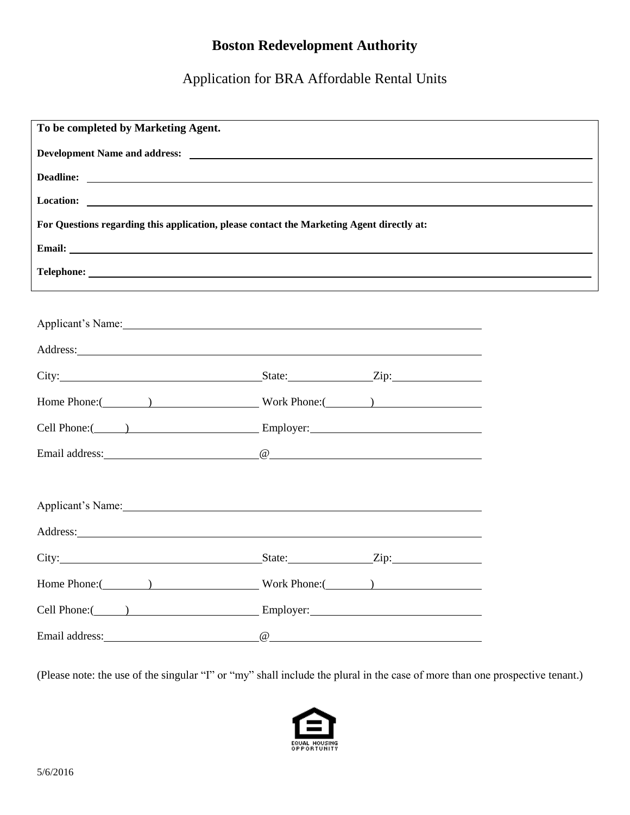# **Boston Redevelopment Authority**

Application for BRA Affordable Rental Units

| To be completed by Marketing Agent.                                                                                                                                                                                                 |  |
|-------------------------------------------------------------------------------------------------------------------------------------------------------------------------------------------------------------------------------------|--|
|                                                                                                                                                                                                                                     |  |
| Deadline:                                                                                                                                                                                                                           |  |
| Location:                                                                                                                                                                                                                           |  |
| For Questions regarding this application, please contact the Marketing Agent directly at:                                                                                                                                           |  |
| Email: The contract of the contract of the contract of the contract of the contract of the contract of the contract of the contract of the contract of the contract of the contract of the contract of the contract of the con      |  |
|                                                                                                                                                                                                                                     |  |
|                                                                                                                                                                                                                                     |  |
| Applicant's Name: 1988                                                                                                                                                                                                              |  |
| Address: National Address: National Address: National Address: National Address: National Address: National Address: National Address: National Address: National Address: National Address: National Address: National Addres      |  |
| City: <u>State:</u> State: Zip:                                                                                                                                                                                                     |  |
|                                                                                                                                                                                                                                     |  |
| Cell Phone: (2002) Employer: Employer:                                                                                                                                                                                              |  |
|                                                                                                                                                                                                                                     |  |
|                                                                                                                                                                                                                                     |  |
| Applicant's Name:                                                                                                                                                                                                                   |  |
|                                                                                                                                                                                                                                     |  |
| City: <u>City:</u> City: City: City: City: City: City: City: City: City: City: City: City: City: City: City: City: City: City: City: City: City: City: City: City: City: City: City: City: City: City: City: City: City: City: City |  |
|                                                                                                                                                                                                                                     |  |
| Cell Phone: (a) Employer: Employer:                                                                                                                                                                                                 |  |
| Email address: and the contract of the contract of the contract of the contract of the contract of the contract of the contract of the contract of the contract of the contract of the contract of the contract of the contrac      |  |

(Please note: the use of the singular "I" or "my" shall include the plural in the case of more than one prospective tenant.)

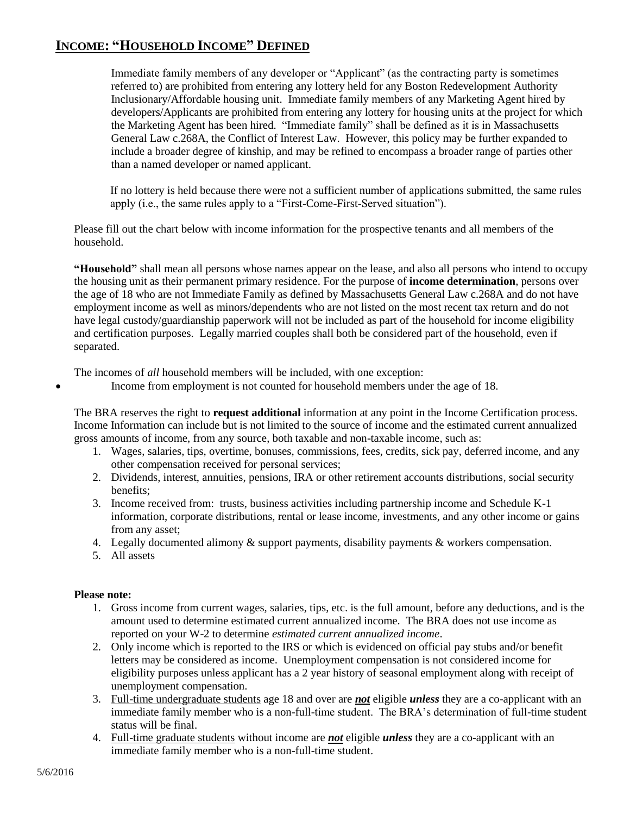## **INCOME: "HOUSEHOLD INCOME" DEFINED**

Immediate family members of any developer or "Applicant" (as the contracting party is sometimes referred to) are prohibited from entering any lottery held for any Boston Redevelopment Authority Inclusionary/Affordable housing unit. Immediate family members of any Marketing Agent hired by developers/Applicants are prohibited from entering any lottery for housing units at the project for which the Marketing Agent has been hired. "Immediate family" shall be defined as it is in Massachusetts General Law c.268A, the Conflict of Interest Law. However, this policy may be further expanded to include a broader degree of kinship, and may be refined to encompass a broader range of parties other than a named developer or named applicant.

If no lottery is held because there were not a sufficient number of applications submitted, the same rules apply (i.e., the same rules apply to a "First-Come-First-Served situation").

Please fill out the chart below with income information for the prospective tenants and all members of the household.

**"Household"** shall mean all persons whose names appear on the lease, and also all persons who intend to occupy the housing unit as their permanent primary residence. For the purpose of **income determination**, persons over the age of 18 who are not Immediate Family as defined by Massachusetts General Law c.268A and do not have employment income as well as minors/dependents who are not listed on the most recent tax return and do not have legal custody/guardianship paperwork will not be included as part of the household for income eligibility and certification purposes. Legally married couples shall both be considered part of the household, even if separated.

The incomes of *all* household members will be included, with one exception:

Income from employment is not counted for household members under the age of 18.

The BRA reserves the right to **request additional** information at any point in the Income Certification process. Income Information can include but is not limited to the source of income and the estimated current annualized gross amounts of income, from any source, both taxable and non-taxable income, such as:

- 1. Wages, salaries, tips, overtime, bonuses, commissions, fees, credits, sick pay, deferred income, and any other compensation received for personal services;
- 2. Dividends, interest, annuities, pensions, IRA or other retirement accounts distributions, social security benefits;
- 3. Income received from: trusts, business activities including partnership income and Schedule K-1 information, corporate distributions, rental or lease income, investments, and any other income or gains from any asset;
- 4. Legally documented alimony & support payments, disability payments & workers compensation.
- 5. All assets

### **Please note:**

- 1. Gross income from current wages, salaries, tips, etc. is the full amount, before any deductions, and is the amount used to determine estimated current annualized income. The BRA does not use income as reported on your W-2 to determine *estimated current annualized income*.
- 2. Only income which is reported to the IRS or which is evidenced on official pay stubs and/or benefit letters may be considered as income. Unemployment compensation is not considered income for eligibility purposes unless applicant has a 2 year history of seasonal employment along with receipt of unemployment compensation.
- 3. Full-time undergraduate students age 18 and over are *not* eligible *unless* they are a co-applicant with an immediate family member who is a non-full-time student. The BRA's determination of full-time student status will be final.
- 4. Full-time graduate students without income are *not* eligible *unless* they are a co-applicant with an immediate family member who is a non-full-time student.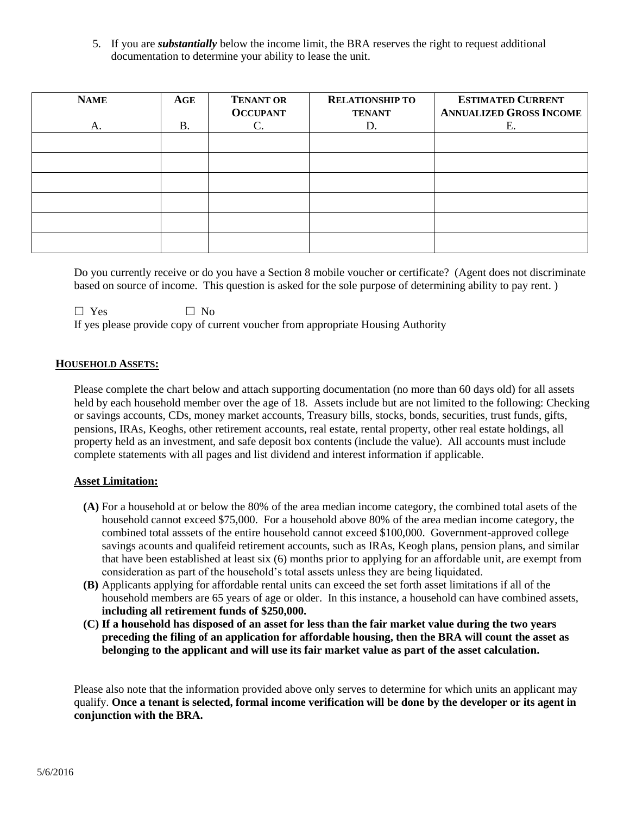5. If you are *substantially* below the income limit, the BRA reserves the right to request additional documentation to determine your ability to lease the unit.

| <b>NAME</b> | $\bf{AGE}$ | <b>TENANT OR</b><br><b>OCCUPANT</b> | <b>RELATIONSHIP TO</b><br><b>TENANT</b> | <b>ESTIMATED CURRENT</b><br><b>ANNUALIZED GROSS INCOME</b> |
|-------------|------------|-------------------------------------|-----------------------------------------|------------------------------------------------------------|
| Α.          | <b>B.</b>  | C.                                  | D.                                      | Е.                                                         |
|             |            |                                     |                                         |                                                            |
|             |            |                                     |                                         |                                                            |
|             |            |                                     |                                         |                                                            |
|             |            |                                     |                                         |                                                            |
|             |            |                                     |                                         |                                                            |
|             |            |                                     |                                         |                                                            |

Do you currently receive or do you have a Section 8 mobile voucher or certificate? (Agent does not discriminate based on source of income. This question is asked for the sole purpose of determining ability to pay rent. )

 $\Box$  Yes  $\Box$  No If yes please provide copy of current voucher from appropriate Housing Authority

### **HOUSEHOLD ASSETS:**

Please complete the chart below and attach supporting documentation (no more than 60 days old) for all assets held by each household member over the age of 18. Assets include but are not limited to the following: Checking or savings accounts, CDs, money market accounts, Treasury bills, stocks, bonds, securities, trust funds, gifts, pensions, IRAs, Keoghs, other retirement accounts, real estate, rental property, other real estate holdings, all property held as an investment, and safe deposit box contents (include the value). All accounts must include complete statements with all pages and list dividend and interest information if applicable.

### **Asset Limitation:**

- **(A)** For a household at or below the 80% of the area median income category, the combined total asets of the household cannot exceed \$75,000. For a household above 80% of the area median income category, the combined total asssets of the entire household cannot exceed \$100,000. Government-approved college savings acounts and qualifeid retirement accounts, such as IRAs, Keogh plans, pension plans, and similar that have been established at least six (6) months prior to applying for an affordable unit, are exempt from consideration as part of the household's total assets unless they are being liquidated.
- **(B)** Applicants applying for affordable rental units can exceed the set forth asset limitations if all of the household members are 65 years of age or older. In this instance, a household can have combined assets, **including all retirement funds of \$250,000.**
- **(C) If a household has disposed of an asset for less than the fair market value during the two years preceding the filing of an application for affordable housing, then the BRA will count the asset as belonging to the applicant and will use its fair market value as part of the asset calculation.**

Please also note that the information provided above only serves to determine for which units an applicant may qualify. **Once a tenant is selected, formal income verification will be done by the developer or its agent in conjunction with the BRA.**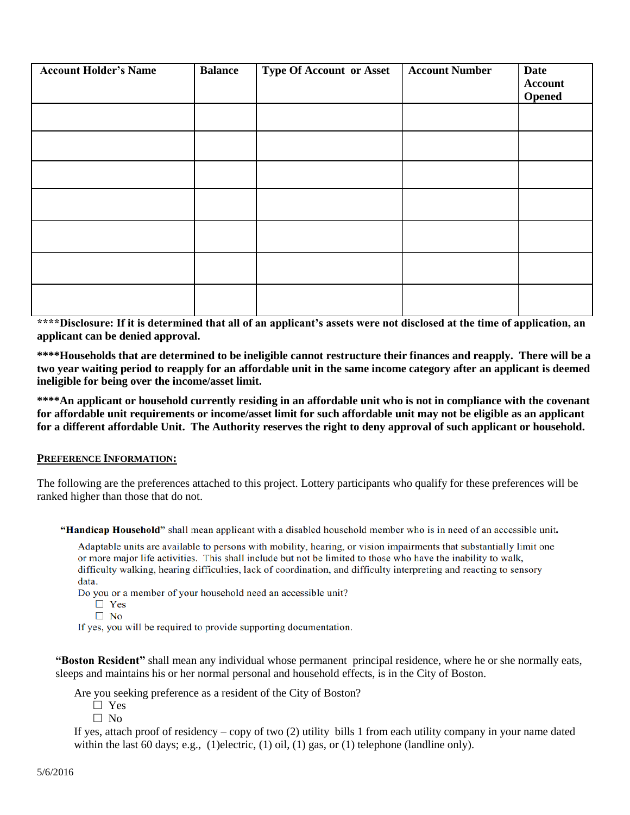| <b>Account Holder's Name</b> | <b>Balance</b> | <b>Type Of Account or Asset</b> | <b>Account Number</b> | <b>Date</b><br><b>Account</b><br><b>Opened</b> |
|------------------------------|----------------|---------------------------------|-----------------------|------------------------------------------------|
|                              |                |                                 |                       |                                                |
|                              |                |                                 |                       |                                                |
|                              |                |                                 |                       |                                                |
|                              |                |                                 |                       |                                                |
|                              |                |                                 |                       |                                                |
|                              |                |                                 |                       |                                                |
|                              |                |                                 |                       |                                                |

**\*\*\*\*Disclosure: If it is determined that all of an applicant's assets were not disclosed at the time of application, an applicant can be denied approval.**

**\*\*\*\*Households that are determined to be ineligible cannot restructure their finances and reapply. There will be a two year waiting period to reapply for an affordable unit in the same income category after an applicant is deemed ineligible for being over the income/asset limit.**

**\*\*\*\*An applicant or household currently residing in an affordable unit who is not in compliance with the covenant for affordable unit requirements or income/asset limit for such affordable unit may not be eligible as an applicant for a different affordable Unit. The Authority reserves the right to deny approval of such applicant or household.**

### **PREFERENCE INFORMATION:**

The following are the preferences attached to this project. Lottery participants who qualify for these preferences will be ranked higher than those that do not.

"Handicap Household" shall mean applicant with a disabled household member who is in need of an accessible unit.

Adaptable units are available to persons with mobility, hearing, or vision impairments that substantially limit one or more major life activities. This shall include but not be limited to those who have the inability to walk, difficulty walking, hearing difficulties, lack of coordination, and difficulty interpreting and reacting to sensory data.

Do you or a member of your household need an accessible unit?

```
\Box Yes
```

```
\Box No
```
If yes, you will be required to provide supporting documentation.

**"Boston Resident"** shall mean any individual whose permanent principal residence, where he or she normally eats, sleeps and maintains his or her normal personal and household effects, is in the City of Boston.

Are you seeking preference as a resident of the City of Boston?

- □ Yes
- $\Box$  No

If yes, attach proof of residency – copy of two (2) utility bills 1 from each utility company in your name dated within the last 60 days; e.g., (1)electric, (1) oil, (1) gas, or (1) telephone (landline only).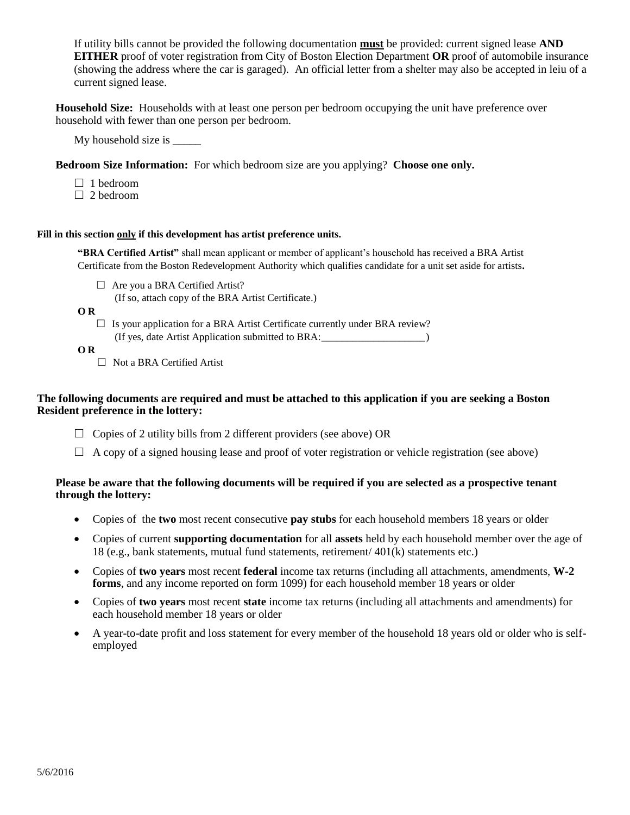If utility bills cannot be provided the following documentation **must** be provided: current signed lease **AND EITHER** proof of voter registration from City of Boston Election Department **OR** proof of automobile insurance (showing the address where the car is garaged). An official letter from a shelter may also be accepted in leiu of a current signed lease.

**Household Size:** Households with at least one person per bedroom occupying the unit have preference over household with fewer than one person per bedroom.

My household size is \_\_\_\_\_

**Bedroom Size Information:** For which bedroom size are you applying? **Choose one only.**

- $\Box$  1 bedroom
- $\Box$  2 bedroom

#### **Fill in this section only if this development has artist preference units.**

**"BRA Certified Artist"** shall mean applicant or member of applicant's household has received a BRA Artist Certificate from the Boston Redevelopment Authority which qualifies candidate for a unit set aside for artists**.**

 $\Box$  Are you a BRA Certified Artist?

(If so, attach copy of the BRA Artist Certificate.)

**O R**

 $\Box$  Is your application for a BRA Artist Certificate currently under BRA review? (If yes, date Artist Application submitted to BRA:\_\_\_\_\_\_\_\_\_\_\_\_\_\_\_\_\_\_\_\_)

**O R**

□ Not a BRA Certified Artist

### **The following documents are required and must be attached to this application if you are seeking a Boston Resident preference in the lottery:**

- $\Box$  Copies of 2 utility bills from 2 different providers (see above) OR
- $\Box$  A copy of a signed housing lease and proof of voter registration or vehicle registration (see above)

### **Please be aware that the following documents will be required if you are selected as a prospective tenant through the lottery:**

- Copies of the **two** most recent consecutive **pay stubs** for each household members 18 years or older
- Copies of current **supporting documentation** for all **assets** held by each household member over the age of 18 (e.g., bank statements, mutual fund statements, retirement/ 401(k) statements etc.)
- Copies of **two years** most recent **federal** income tax returns (including all attachments, amendments, **W-2 forms**, and any income reported on form 1099) for each household member 18 years or older
- Copies of **two years** most recent **state** income tax returns (including all attachments and amendments) for each household member 18 years or older
- A year-to-date profit and loss statement for every member of the household 18 years old or older who is selfemployed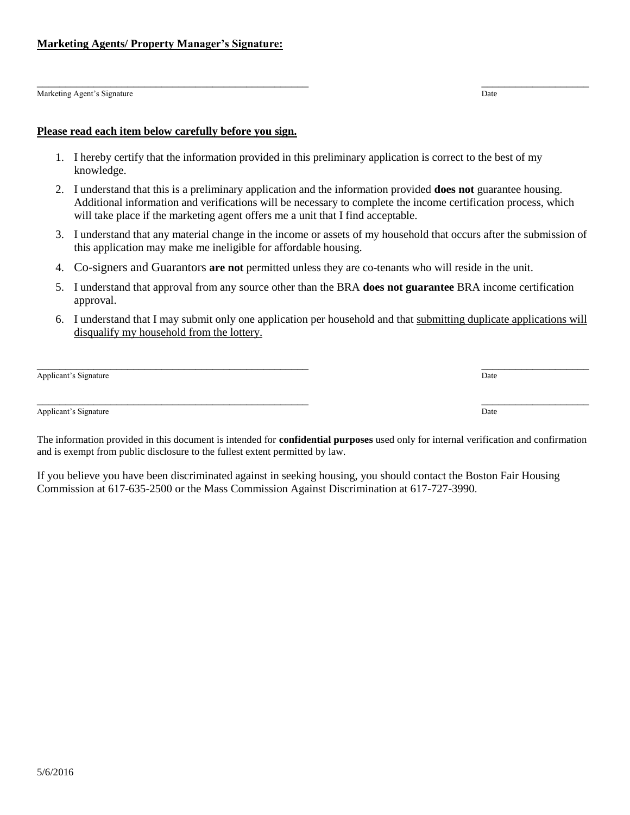#### **Please read each item below carefully before you sign.**

**Marketing Agents/ Property Manager's Signature:** 

- 1. I hereby certify that the information provided in this preliminary application is correct to the best of my knowledge.
- 2. I understand that this is a preliminary application and the information provided **does not** guarantee housing. Additional information and verifications will be necessary to complete the income certification process, which will take place if the marketing agent offers me a unit that I find acceptable.
- 3. I understand that any material change in the income or assets of my household that occurs after the submission of this application may make me ineligible for affordable housing.
- 4. Co-signers and Guarantors **are not** permitted unless they are co-tenants who will reside in the unit.
- 5. I understand that approval from any source other than the BRA **does not guarantee** BRA income certification approval.
- 6. I understand that I may submit only one application per household and that submitting duplicate applications will disqualify my household from the lottery.

 $\overline{\phantom{a}}$  , and the contract of the contract of the contract of the contract of the contract of the contract of the contract of the contract of the contract of the contract of the contract of the contract of the contrac

Applicant's Signature Date of the Contract of the Contract of the Date of the Date of the Date of the Date of the Date of the Date of the Date of the Date of the Date of the Date of the Date of the Date of the Date of the

Applicant's Signature Date of the Date of the Date of the Date of the Date of the Date of the Date of the Date of the Date of the Date of the Date of the Date of the Date of the Date of the Date of the Date of the Date of

The information provided in this document is intended for **confidential purposes** used only for internal verification and confirmation and is exempt from public disclosure to the fullest extent permitted by law.

If you believe you have been discriminated against in seeking housing, you should contact the Boston Fair Housing Commission at 617-635-2500 or the Mass Commission Against Discrimination at 617-727-3990.

 $\overline{\phantom{a}}$  , and the contract of the contract of the contract of the contract of the contract of the contract of the contract of the contract of the contract of the contract of the contract of the contract of the contrac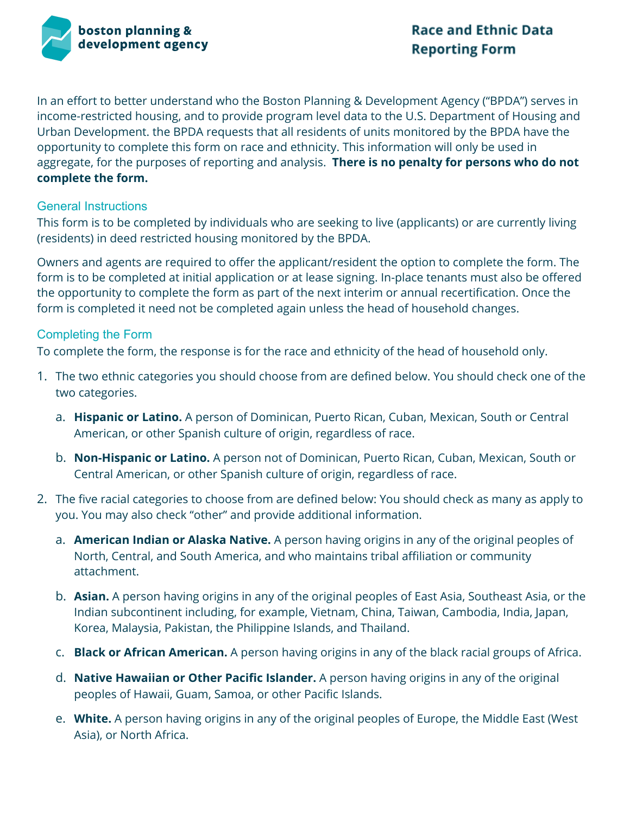

In an effort to better understand who the Boston Planning & Development Agency ("BPDA") serves in income-restricted housing, and to provide program level data to the U.S. Department of Housing and Urban Development. the BPDA requests that all residents of units monitored by the BPDA have the opportunity to complete this form on race and ethnicity. This information will only be used in aggregate, for the purposes of reporting and analysis. **There is no penalty for persons who do not complete the form.**

### General Instructions

This form is to be completed by individuals who are seeking to live (applicants) or are currently living (residents) in deed restricted housing monitored by the BPDA.

Owners and agents are required to offer the applicant/resident the option to complete the form. The form is to be completed at initial application or at lease signing. In-place tenants must also be offered the opportunity to complete the form as part of the next interim or annual recertification. Once the form is completed it need not be completed again unless the head of household changes.

### Completing the Form

To complete the form, the response is for the race and ethnicity of the head of household only.

- 1. The two ethnic categories you should choose from are defined below. You should check one of the two categories.
	- a. **Hispanic or Latino.** A person of Dominican, Puerto Rican, Cuban, Mexican, South or Central American, or other Spanish culture of origin, regardless of race.
	- b. **Non-Hispanic or Latino.** A person not of Dominican, Puerto Rican, Cuban, Mexican, South or Central American, or other Spanish culture of origin, regardless of race.
- 2. The five racial categories to choose from are defined below: You should check as many as apply to you. You may also check "other" and provide additional information.
	- a. **American Indian or Alaska Native.** A person having origins in any of the original peoples of North, Central, and South America, and who maintains tribal affiliation or community attachment.
	- b. **Asian.** A person having origins in any of the original peoples of East Asia, Southeast Asia, or the Indian subcontinent including, for example, Vietnam, China, Taiwan, Cambodia, India, Japan, Korea, Malaysia, Pakistan, the Philippine Islands, and Thailand.
	- c. **Black or African American.** A person having origins in any of the black racial groups of Africa.
	- d. **Native Hawaiian or Other Pacific Islander.** A person having origins in any of the original peoples of Hawaii, Guam, Samoa, or other Pacific Islands.
	- e. **White.** A person having origins in any of the original peoples of Europe, the Middle East (West Asia), or North Africa.